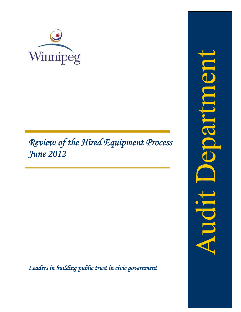

# Review of the Hired Equipment Process June 2012

Leaders in building public trust in civic government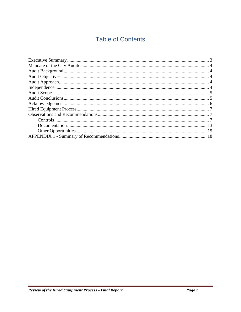# **Table of Contents**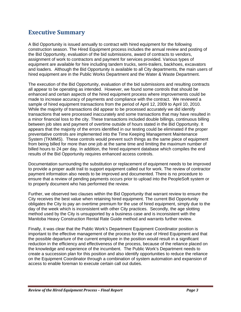# **Executive Summary**

A Bid Opportunity is issued annually to contract with hired equipment for the following construction season. The Hired Equipment process includes the annual review and posting of the Bid Opportunity, evaluation of the bid submissions, award of contracts to vendors, assignment of work to contractors and payment for services provided. Various types of equipment are available for hire including tandem trucks, semi-trailers, backhoes, excavators and loaders. Although the Bid Opportunity is available to all City departments, the main users of hired equipment are in the Public Works Department and the Water & Waste Department.

The execution of the Bid Opportunity, evaluation of the bid submissions and resulting contracts all appear to be operating as intended. However, we found some controls that should be enhanced and certain aspects of the hired equipment process where improvements could be made to increase accuracy of payments and compliance with the contract. We reviewed a sample of hired equipment transactions from the period of April 12, 2009 to April 10, 2010. While the majority of transactions did appear to be processed accurately we did identify transactions that were processed inaccurately and some transactions that may have resulted in a minor financial loss to the city. These transactions included double billings, continuous billing between job sites and payment of overtime outside of hours stated in the Bid Opportunity. It appears that the majority of the errors identified in our testing could be eliminated if the proper preventative controls are implemented into the Time Keeping Management Maintenance System (TKMMS). These controls would prevent such things as the same piece of equipment from being billed for more than one job at the same time and limiting the maximum number of billed hours to 24 per day. In addition, the hired equipment database which compiles the end results of the Bid Opportunity requires enhanced access controls.

Documentation surrounding the substitution or replacement of equipment needs to be improved to provide a proper audit trail to support equipment called out for work. The review of contractor payment information also needs to be improved and documented. There is no procedure to ensure that a review of pending payments occurs prior to upload into the PeopleSoft system or to properly document who has performed the review.

Further, we observed two clauses within the Bid Opportunity that warrant review to ensure the City receives the best value when retaining hired equipment. The current Bid Opportunity obligates the City to pay an overtime premium for the use of hired equipment, simply due to the day of the week which is inconsistent with other City practices. Secondly, the age slotting method used by the City is unsupported by a business case and is inconsistent with the Manitoba Heavy Construction Rental Rate Guide method and warrants further review.

Finally, it was clear that the Public Work's Department Equipment Coordinator position is important to the effective management of the process for the use of Hired Equipment and that the possible departure of the current employee in the position would result in a significant reduction in the efficiency and effectiveness of the process, because of the reliance placed on the knowledge and experience of the incumbent. The Public Work's Department needs to create a succession plan for this position and also identify opportunities to reduce the reliance on the Equipment Coordinator through a combination of system automation and expansion of access to enable foreman to execute certain call out duties.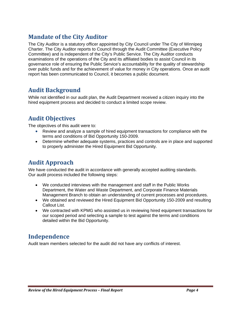# **Mandate of the City Auditor**

The City Auditor is a statutory officer appointed by City Council under The City of Winnipeg Charter. The City Auditor reports to Council through the Audit Committee (Executive Policy Committee) and is independent of the City's Public Service. The City Auditor conducts examinations of the operations of the City and its affiliated bodies to assist Council in its governance role of ensuring the Public Service's accountability for the quality of stewardship over public funds and for the achievement of value for money in City operations. Once an audit report has been communicated to Council, it becomes a public document.

# **Audit Background**

While not identified in our audit plan, the Audit Department received a citizen inquiry into the hired equipment process and decided to conduct a limited scope review.

# **Audit Objectives**

The objectives of this audit were to:

- Review and analyze a sample of hired equipment transactions for compliance with the terms and conditions of Bid Opportunity 150-2009.
- Determine whether adequate systems, practices and controls are in place and supported to properly administer the Hired Equipment Bid Opportunity.

# **Audit Approach**

We have conducted the audit in accordance with generally accepted auditing standards. Our audit process included the following steps:

- We conducted interviews with the management and staff in the Public Works Department, the Water and Waste Department, and Corporate Finance Materials Management Branch to obtain an understanding of current processes and procedures.
- We obtained and reviewed the Hired Equipment Bid Opportunity 150-2009 and resulting Callout List.
- We contracted with KPMG who assisted us in reviewing hired equipment transactions for our scoped period and selecting a sample to test against the terms and conditions detailed within the Bid Opportunity.

# **Independence**

Audit team members selected for the audit did not have any conflicts of interest.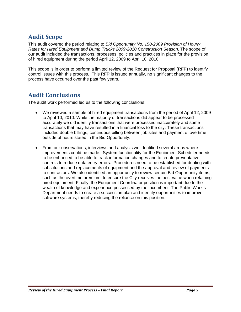# **Audit Scope**

This audit covered the period relating to *Bid Opportunity No. 150-2009 Provision of Hourly Rates for Hired Equipment and Dump Trucks 2009-2010 Construction Season*. The scope of our audit included the transactions, processes, policies and practices in place for the provision of hired equipment during the period April 12, 2009 to April 10, 2010

This scope is in order to perform a limited review of the Request for Proposal (RFP) to identify control issues with this process. This RFP is issued annually, no significant changes to the process have occurred over the past few years.

# **Audit Conclusions**

The audit work performed led us to the following conclusions:

- We reviewed a sample of hired equipment transactions from the period of April 12, 2009 to April 10, 2010. While the majority of transactions did appear to be processed accurately we did identify transactions that were processed inaccurately and some transactions that may have resulted in a financial loss to the city. These transactions included double billings, continuous billing between job sites and payment of overtime outside of hours stated in the Bid Opportunity.
- From our observations, interviews and analysis we identified several areas where improvements could be made. System functionality for the Equipment Scheduler needs to be enhanced to be able to track information changes and to create preventative controls to reduce data entry errors. Procedures need to be established for dealing with substitutions and replacements of equipment and the approval and review of payments to contractors. We also identified an opportunity to review certain Bid Opportunity items, such as the overtime premium, to ensure the City receives the best value when retaining hired equipment. Finally, the Equipment Coordinator position is important due to the wealth of knowledge and experience possessed by the incumbent. The Public Work's Department needs to create a succession plan and identify opportunities to improve software systems, thereby reducing the reliance on this position.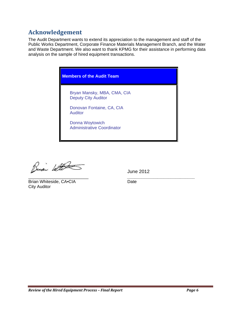# **Acknowledgement**

The Audit Department wants to extend its appreciation to the management and staff of the Public Works Department, Corporate Finance Materials Management Branch, and the Water and Waste Department. We also want to thank KPMG for their assistance in performing data analysis on the sample of hired equipment transactions.

**Members of the Audit Team** 

Bryan Mansky, MBA, CMA, CIA **Deputy City Auditor** 

Donovan Fontaine, CA, CIA **Auditor** 

Donna Woytowich **Administrative Coordinator** 

Busi With

Brian Whiteside, CA.CIA **City Auditor** 

**June 2012** 

Date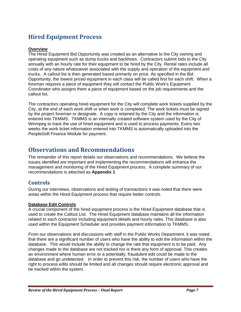# **Hired Equipment Process**

# **Overview**

The Hired Equipment Bid Opportunity was created as an alternative to the City owning and operating equipment such as dump trucks and backhoes. Contractors submit bids to the City annually with an hourly rate for their equipment to be hired by the City. Rental rates include all costs of any nature whatsoever associated with the supply and operation of the equipment and trucks. A callout list is then generated based primarily on price. As specified in the Bid Opportunity, the lowest priced equipment in each class will be called first for each shift. When a foreman requires a piece of equipment they will contact the Public Work's Equipment Coordinator who assigns them a piece of equipment based on the job requirements and the callout list.

The contractors operating hired equipment for the City will complete work tickets supplied by the City, at the end of each work shift or when work is completed. The work tickets must be signed by the project foreman or designate. A copy is retained by the City and the information is entered into TKMMS. TKMMS is an internally created software system used by the City of Winnipeg to track the use of hired equipment and is used to process payments. Every two weeks the work ticket information entered into TKMMS is automatically uploaded into the PeopleSoft Finance Module for payment.

# **Observations and Recommendations**

The remainder of this report details our observations and recommendations. We believe the issues identified are important and implementing the recommendations will enhance the management and monitoring of the Hired Equipment process. A complete summary of our recommendations is attached as **Appendix 1**.

# **Controls**

During our interviews, observations and testing of transactions it was noted that there were areas within the Hired Equipment process that require better controls.

# **Database Edit Controls**

A crucial component of the hired equipment process is the Hired Equipment database that is used to create the Callout List. The Hired Equipment database maintains all the information related to each contractor including equipment details and hourly rates. This database is also used within the Equipment Scheduler and provides payment information to TKMMS.

From our observations and discussions with staff in the Public Works Department, it was noted that there are a significant number of users who have the ability to edit the information within the database. This would include the ability to change the rate that equipment is to be paid. Any changes made to the database are not tracked nor is there any form of approval. This creates an environment where human error or a potentially, fraudulent edit could be made to the database and go undetected. In order to prevent this risk, the number of users who have the right to process edits should be limited and all changes should require electronic approval and be tracked within the system.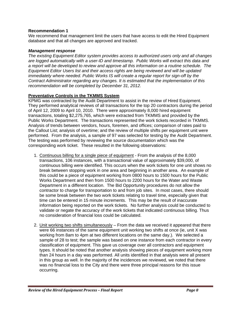# **Recommendation 1**

We recommend that management limit the users that have access to edit the Hired Equipment database and that all changes are approved and tracked.

# *Management response*

*The existing Equipment Editor system provides access to authorized users only and all changes are logged automatically with a user-ID and timestamp. Public Works will extract this data and a report will be developed to review and approve all this information on a routine schedule. The Equipment Editor Users list and their access rights are being reviewed and will be updated immediately where needed. Public Works IS will create a regular report for sign-off by the Contract Administrator regarding any changes. It is estimated that the implementation of this recommendation will be completed by December 31, 2012.* 

# **Preventative Controls in the TKMMS System**

KPMG was contracted by the Audit Department to assist in the review of Hired Equipment. They performed analytical reviews of all transactions for the top 20 contractors during the period of April 12, 2009 to April 10, 2010. There were approximately 8,000 hired equipment transactions, totaling \$2,275,765, which were extracted from TKMMS and provided by the Public Works Department. The transactions represented the work tickets recorded in TKMMS. Analysis of trends between vendors, hours, foremen, and offices; comparison of rates paid to the Callout List; analysis of overtime; and the review of multiple shifts per equipment unit were performed. From the analysis, a sample of 97 was selected for testing by the Audit Department. The testing was performed by reviewing the source documentation which was the corresponding work ticket. These resulted in the following observations:

- 1. Continuous billing for a single piece of equipment From the analysis of the 8,000 transactions, 106 instances, with a transactional value of approximately \$39,000, of continuous billing were identified. This occurs when the work tickets for one unit shows no break between stopping work in one area and beginning in another area. An example of this could be a piece of equipment working from 0800 hours to 1500 hours for the Public Works Department and then from 1500 hours to 2200 hours for the Water and Waste Department in a different location. The Bid Opportunity procedures do not allow the contractor to charge for transportation to and from job sites. In most cases, there should be some break between the two work tickets relating to travel time, especially given that time can be entered in 15 minute increments. This may be the result of inaccurate information being reported on the work tickets. No further analysis could be conducted to validate or negate the accuracy of the work tickets that indicated continuous billing. Thus no consideration of financial loss could be calculated.
- 2. Unit working two shifts simultaneously From the data we received it appeared that there were 66 instances of the same equipment unit working two shifts at once (ie, unit X was working from 8am to 4pm at two different locations on the same day.). We selected a sample of 28 to test; the sample was based on one instance from each contractor in every classification of equipment. This gave us coverage over all contractors and equipment types. It should be noted that another analysis showing pieces of equipment working more than 24 hours in a day was performed. All units identified in that analysis were all present in this group as well. In the majority of the incidences we reviewed, we noted that there was no financial loss to the City and there were three principal reasons for this issue occurring.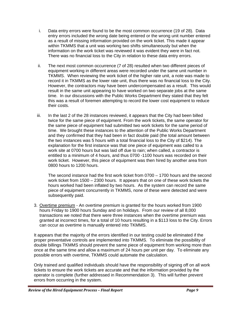- i. Data entry errors were found to be the most common occurrence (19 of 28). Data entry errors included the wrong date being entered or the wrong unit number entered as a result of missing information provided on the work ticket. This made it appear within TKMMS that a unit was working two shifts simultaneously but when the information on the work ticket was reviewed it was evident they were in fact not. There was no financial loss to the City in relation to these data entry errors.
- ii. The next most common occurrence (7 of 28) resulted when two different pieces of equipment working in different areas were recorded under the same unit number in TKMMS. When reviewing the work ticket of the higher rate unit, a note was made to record it in TKMMS as the lower rate unit, thus there was no financial loss to the City. However, the contractors may have been undercompensated as a result. This would result in the same unit appearing to have worked on two separate jobs at the same time. In our discussions with the Public Works Department they stated that they felt this was a result of foremen attempting to record the lower cost equipment to reduce their costs.
- iii. In the last 2 of the 28 instances reviewed, it appears that the City had been billed twice for the same piece of equipment. From the work tickets, the same operator for the same piece of equipment had submitted two work tickets for the same period of time. We brought these instances to the attention of the Public Works Department and they confirmed that they had been in fact double paid (the total amount between the two instances was 5 hours with a total financial loss to the City of \$214). The explanation for the first instance was that one piece of equipment was called to a work site at 0700 hours but was laid off due to rain; when called, a contractor is entitled to a minimum of 4 hours, and thus 0700 -1100 hours was recorded on their work ticket. However, this piece of equipment was then hired by another area from 0800 hours to 1200 hours.

The second instance had the first work ticket from 0700 – 1700 hours and the second work ticket from 1500 – 2300 hours. It appears that on one of these work tickets the hours worked had been inflated by two hours. As the system can record the same piece of equipment concurrently in TKMMS, none of these were detected and were subsequently paid.

3. Overtime premium - An overtime premium is granted for the hours worked from 1900 hours Friday to 1900 hours Sunday and on holidays. From our review of all 8,000 transactions we noted that there were three instances when the overtime premium was granted at incorrect times, for a total of 10 hours resulting in a \$113 loss to the City. Errors can occur as overtime is manually entered into TKMMS.

It appears that the majority of the errors identified in our testing could be eliminated if the proper preventative controls are implemented into TKMMS. To eliminate the possibility of double billings TKMMS should prevent the same piece of equipment from working more than once at the same time and allow a maximum of 24 hours per unit per day. To eliminate any possible errors with overtime, TKMMS could automate the calculation.

Only trained and qualified individuals should have the responsibility of signing off on all work tickets to ensure the work tickets are accurate and that the information provided by the operator is complete (further addressed in Recommendation 3). This will further prevent errors from occurring in the system.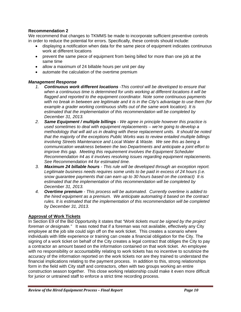# **Recommendation 2**

We recommend that changes to TKMMS be made to incorporate sufficient preventive controls in order to reduce the potential for errors. Specifically, these controls should include:

- displaying a notification when data for the same piece of equipment indicates continuous work at different locations
- prevent the same piece of equipment from being billed for more than one job at the same time
- allow a maximum of 24 billable hours per unit per day
- automate the calculation of the overtime premium

# *Management Response*

- *1. Continuous work different locations -This control will be developed to ensure that when a continuous time is determined for units working at different locations it will be flagged and reported to the equipment coordinator. Note some continuous payments with no break in between are legitimate and it is in the City's advantage to use them (for example a grader working continuous shifts out of the same work location). It is estimated that the implementation of this recommendation will be completed by December 31, 2013.*
- *2. Same Equipment / multiple billings We agree in principle however this practice is used sometimes to deal with equipment replacements – we're going to develop a methodology that will aid us in dealing with these replacement units. It should be noted that the majority of the exceptions Public Works was to review entailed multiple billings involving Streets Maintenance and Local Water & Waste. We see this as being a communication weakness between the two Departments and anticipate a joint effort to improve this gap. Meeting this requirement involves the Equipment Scheduler Recommendation #4 as it involves resolving issues regarding equipment replacements. See Recommendation #4 for estimated time.*
- *3. Maximum 24 billable hours This rule will be developed through an exception report. Legitimate business needs requires some units to be paid in excess of 24 hours (i.e. snow guarantee payments that can earn up to 30 hours based on the contract) It is estimated that the implementation of this recommendation will be completed by December 31, 2013.*
- *4. Overtime premium This process will be automated. Currently overtime is added to the hired equipment as a premium. We anticipate automating it based on the contract rules. It is estimated that the implementation of this recommendation will be completed by December 31, 2013.*

# **Approval of Work Tickets**

In Section E9 of the Bid Opportunity it states that *"Work tickets must be signed by the project foreman or designate."* It was noted that if a foreman was not available, effectively any City employee at the job site could sign off on the work ticket. This creates a scenario where individuals with little experience or training can create a financial obligation for the City. The signing of a work ticket on behalf of the City creates a legal contract that obliges the City to pay a contractor an amount based on the information contained on that work ticket. An employee with no responsibility or accountability relating to work tickets has no incentive to scrutinize the accuracy of the information reported on the work tickets nor are they trained to understand the financial implications relating to the payment process. In addition to this, strong relationships form in the field with City staff and contractors, often with two groups working an entire construction season together. This close working relationship could make it even more difficult for junior or untrained staff to enforce a strict time recording process.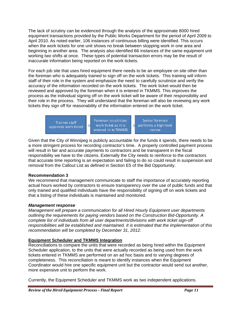The lack of scrutiny can be evidenced through the analysis of the approximate 8000 hired equipment transactions provided by the Public Works Department for the period of April 2009 to April 2010. As noted earlier, 106 instances of continuous billing were identified. This occurs when the work tickets for one unit shows no break between stopping work in one area and April 2010. As noted earlier, 106 instances of continuous billing were identified. This occurs<br>when the work tickets for one unit shows no break between stopping work in one area and<br>beginning in another area. The analysi working two shifts at once. These types of potential transaction errors may be the result of inaccurate information being reported on the work tickets.

For each job site that uses hired equipment there needs to be an employee on site other than the foreman who is adequately trained to sign off on the work tickets. This training will inform staff of their role in the system and emphasize the need to carefully scrutinize and verify the accuracy of the information recorded on the work tickets. The work ticket would then be reviewed and approved by the foreman when it is entered in TKMMS. This improves the staff of their role in the system and emphasize the need to carefully scrutinize and verify the accuracy of the information recorded on the work tickets. The work ticket would then be reviewed and approved by the foreman w their role in the process. They will understand that the foreman will also be reviewing any work tickets they sign off for reasonability of the information entered on the work ticket.

> Foreman scrutinizes Senior foreman **Trained staff**  $\Rightarrow$ work ticket as it is  $\Rightarrow$ performs a high level approves work ticket entered in to TKMMS

Given that the City of Winnipeg is publicly accountable for the funds it spends, there needs to be a more stringent process for recording contractor's time. A properly controlled payment process will result in fair and accurate payments to contractors and be transparent in the fiscal responsibility we have to the citizens. Externally the City needs to reinforce to the contractors that accurate time reporting is an expectation and failing to do so could result in suspension and removal from the Callout List as defined in Section E5 of the Bid Opportunity.

review

# **Recomm mendation 3**

We recommend that management communicate to staff the importance of accurately reporting actual hours worked by contractors to ensure transparency over the use of public funds and that only trained and qualified individuals have the responsibility of signing off on work tickets and that a listing of these individuals is maintained and monitored.

# **Management response**

*Management will prepare a communication for all Hired Hourly Equipment user departments outlining the requirements for paying vendors based on the Construction Bid-Opportunity. A complete list of individuals from all user departments/divisions with work ticket sign-off responsibilities will be established and maintained. It is estimated that the implementation of this recommendation will be completed by December 31, 2012.* 

# **<u>Equipment Scheduler and TKMMS Integration</u>**

Reconciliations to compare the units that were recorded as being hired within the Equipment Scheduler application, to the units that were actually recorded as being used from the work tickets entered in TKMMS are performed on an ad hoc basis and to varying degrees of completeness. This reconciliation is meant to identify instances when the Equipment Coordinator would hire one specific equipment unit but the contractor would send out another, more expensive unit to perform the work.

Currently, the Equipment Scheduler and TKMMS work as two independent applications.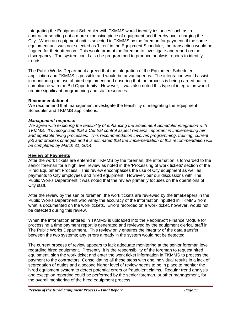Integrating the Equipment Scheduler with TKMMS would identify instances such as, a contractor sending out a more expensive piece of equipment and thereby over charging the City. When an equipment unit is selected in TKMMS by the foreman for payment, if the same equipment unit was not selected as 'hired' in the Equipment Scheduler, the transaction would be flagged for their attention. This would prompt the foreman to investigate and report on the discrepancy. The system could also be programmed to produce analysis reports to identify trends.

The Public Works Department agreed that the integration of the Equipment Scheduler application and TKMMS is possible and would be advantageous. The integration would assist in monitoring the use of hired equipment and ensuring that the process is being carried out in compliance with the Bid Opportunity. However, it was also noted this type of integration would require significant programming and staff resources.

# **Recommendation 4**

We recommend that management investigate the feasibility of integrating the Equipment Scheduler and TKMMS applications.

# *Management response*

*We agree with exploring the feasibility of enhancing the Equipment Scheduler integration with TKMMS. It's recognized that a Central control aspect remains important in implementing fair and equitable hiring processes. This recommendation involves programming, training, current job and process changes and it is estimated that the implementation of this recommendation will be completed by March 31, 2014.* 

# **Review of Payments**

After the work tickets are entered in TKMMS by the foreman, the information is forwarded to the senior foreman for a high level review as noted in the 'Processing of work tickets' section of the Hired Equipment Process. This review encompasses the use of City equipment as well as payments to City employees and hired equipment. However, per our discussions with The Public Works Department it was noted that the review primarily focuses on the operations of City staff.

After the review by the senior foreman, the work tickets are reviewed by the timekeepers in the Public Works Department who verify the accuracy of the information inputted in TKMMS from what is documented on the work tickets. Errors recorded on a work ticket, however, would not be detected during this review.

When the information entered in TKMMS is uploaded into the PeopleSoft Finance Module for processing a time payment report is generated and reviewed by the equipment clerical staff in The Public Works Department. This review only ensures the integrity of the data transfer between the two systems; any errors already in the system would not be detected.

The current process of review appears to lack adequate monitoring at the senior foreman level regarding hired equipment. Presently, it is the responsibility of the foreman to request hired equipment, sign the work ticket and enter the work ticket information in TKMMS to process the payment to the contractors. Consolidating all these steps with one individual results in a lack of segregation of duties and a second higher level of review needs to be in place to monitor the hired equipment system to detect potential errors or fraudulent claims. Regular trend analysis and exception reporting could be performed by the senior foreman, or other management, for the overall monitoring of the hired equipment process.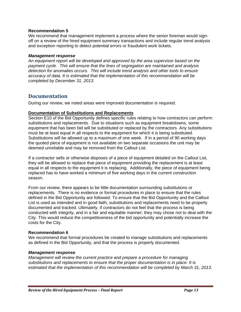### **Recommendation 5**

We recommend that management implement a process where the senior foreman would signoff on a review of the hired equipment summary transactions and include regular trend analysis and exception reporting to detect potential errors or fraudulent work tickets.

### *Management response*

*An equipment report will be developed and approved by the area supervisor based on the payment cycle. This will ensure that the lines of segregation are maintained and analysis detection for anomalies occurs. This will include trend analysis and other tools to ensure accuracy of data. It is estimated that the implementation of this recommendation will be completed by December 31, 2013.* 

# **Documentation**

During our review, we noted areas were improved documentation is required.

# **Documentation of Substitutions and Replacements**

Section E10 of the Bid Opportunity defines specific rules relating to how contractors can perform substitutions and replacements. Due to situations such as equipment breakdowns, some equipment that has been bid will be substituted or replaced by the contractors. Any substitutions must be at least equal in all respects to the equipment for which it is being substituted. Substitutions will be allowed up to a maximum of one week. If in a period of 90 working days the quoted piece of equipment is not available on two separate occasions the unit may be deemed unreliable and may be removed from the Callout List.

If a contractor sells or otherwise disposes of a piece of equipment detailed on the Callout List, they will be allowed to replace that piece of equipment providing the replacement is at least equal in all respects to the equipment it is replacing. Additionally, the piece of equipment being replaced has to have worked a minimum of five working days in the current construction season.

From our review, there appears to be little documentation surrounding substitutions or replacements. There is no evidence or formal procedures in place to ensure that the rules defined in the Bid Opportunity are followed. To ensure that the Bid Opportunity and the Callout List is used as intended and in good faith, substitutions and replacements need to be properly documented and tracked. Ultimately, if contractors do not feel that the process is being conducted with integrity, and in a fair and equitable manner; they may chose not to deal with the City. This would reduce the competitiveness of the bid opportunity and potentially increase the costs for the City.

# **Recommendation 6**

We recommend that formal procedures be created to manage substitutions and replacements as defined in the Bid Opportunity, and that the process is properly documented.

# *Management response*

*Management will review the current practice and prepare a procedure for managing substitutions and replacements to ensure that the proper documentation is in place. It is estimated that the implementation of this recommendation will be completed by March 31, 2013.*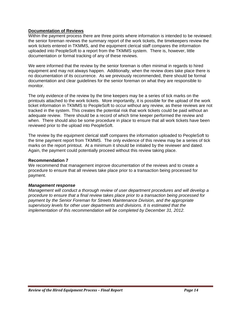# **Documentation of Reviews**

Within the payment process there are three points where information is intended to be reviewed: the senior foreman reviews the summary report of the work tickets, the timekeepers review the work tickets entered in TKMMS, and the equipment clerical staff compares the information uploaded into PeopleSoft to a report from the TKMMS system. There is, however, little documentation or formal tracking of any of these reviews.

We were informed that the review by the senior foreman is often minimal in regards to hired equipment and may not always happen. Additionally, when the review does take place there is no documentation of its occurrence. As we previously recommended, there should be formal documentation and clear guidelines for the senior foreman on what they are responsible to monitor.

The only evidence of the review by the time keepers may be a series of tick marks on the printouts attached to the work tickets. More importantly, it is possible for the upload of the work ticket information in TKMMS to PeopleSoft to occur without any review, as these reviews are not tracked in the system. This creates the potential risk that work tickets could be paid without an adequate review. There should be a record of which time keeper performed the review and when. There should also be some procedure in place to ensure that all work tickets have been reviewed prior to the upload into PeopleSoft.

The review by the equipment clerical staff compares the information uploaded to PeopleSoft to the time payment report from TKMMS. The only evidence of this review may be a series of tick marks on the report printout. At a minimum it should be initialed by the reviewer and dated. Again, the payment could potentially proceed without this review taking place.

# **Recommendation 7**

We recommend that management improve documentation of the reviews and to create a procedure to ensure that all reviews take place prior to a transaction being processed for payment.

# *Management response*

*Management will conduct a thorough review of user department procedures and will develop a procedure to ensure that a final review takes place prior to a transaction being processed for payment by the Senior Foreman for Streets Maintenance Division, and the appropriate supervisory levels for other user departments and divisions. It is estimated that the implementation of this recommendation will be completed by December 31, 2012.*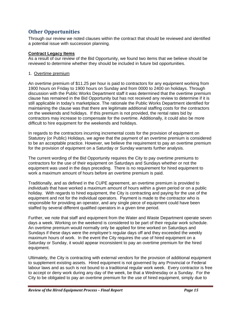# **Other Opportunities**

Through our review we noted clauses within the contract that should be reviewed and identified a potential issue with succession planning.

# **Contract Legacy Items**

As a result of our review of the Bid Opportunity, we found two items that we believe should be reviewed to determine whether they should be included in future bid opportunities.

# 1. Overtime premium

An overtime premium of \$11.25 per hour is paid to contractors for any equipment working from 1900 hours on Friday to 1900 hours on Sunday and from 0000 to 2400 on holidays. Through discussion with the Public Works Department staff it was determined that the overtime premium clause has remained in the Bid Opportunity but has not received any review to determine if it is still applicable in today's marketplace. The rationale the Public Works Department identified for maintaining the clause was that there are legitimate additional staffing costs for the contractors on the weekends and holidays. If this premium is not provided, the rental rates bid by contractors may increase to compensate for the overtime. Additionally, it could also be more difficult to hire equipment for the weekends and holidays.

In regards to the contractors incurring incremental costs for the provision of equipment on Statutory (or Public) Holidays, we agree that the payment of an overtime premium is considered to be an acceptable practice. However, we believe the requirement to pay an overtime premium for the provision of equipment on a Saturday or Sunday warrants further analysis.

The current wording of the Bid Opportunity requires the City to pay overtime premiums to contractors for the use of their equipment on Saturdays and Sundays whether or not the equipment was used in the days preceding. There is no requirement for hired equipment to work a maximum amount of hours before an overtime premium is paid.

Traditionally, and as defined in the CUPE agreement, an overtime premium is provided to *individuals* that have worked a maximum amount of hours within a given period or on a public holiday. With regards to hired equipment, the City is contracting and paying for the use of the equipment and not for the individual operators. Payment is made to the contractor who is responsible for providing an operator, and any single piece of equipment could have been staffed by several different qualified operators in a given time period.

Further, we note that staff and equipment from the Water and Waste Department operate seven days a week. Working on the weekend is considered to be part of their regular work schedule. An overtime premium would normally only be applied for time worked on Saturdays and Sundays if these days were the *employee's* regular days off and they exceeded the weekly maximum hours of work. In the event the City requires the use of hired equipment on a Saturday or Sunday, it would appear inconsistent to pay an overtime premium for the hired equipment.

Ultimately, the City is contracting with external vendors for the provision of additional equipment to supplement existing assets. Hired equipment is not governed by any Provincial or Federal labour laws and as such is not bound to a traditional regular work week. Every contractor is free to accept or deny work during any day of the week, be that a Wednesday or a Sunday. For the City to be obligated to pay an overtime premium for the use of hired equipment, simply due to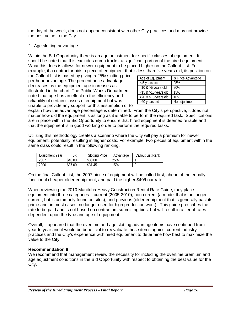the day of the week, does not appear consistent with other City practices and may not provide the best value to the City.

# 2. Age slotting advantage

Within the Bid Opportunity there is an age adjustment for specific classes of equipment. It should be noted that this excludes dump trucks, a significant portion of the hired equipment. What this does is allows for newer equipment to be placed higher on the Callout List. For example, if a contractor bids a piece of equipment that is less than five years old, its position on

the Callout List is based by giving a 25% slotting price per hour advantage. The percent price advantage decreases as the equipment age increases as illustrated in the chart. The Public Works Department noted that age has an effect on the efficiency and reliability of certain classes of equipment but was unable to provide any support for this assumption or to

| Age of Equipment          | % Price Advantage |  |  |
|---------------------------|-------------------|--|--|
| < 5 years old             | 25%               |  |  |
| $<$ 10 & $>$ 5 years old  | 20%               |  |  |
| $<$ 15 & >10 years old    | 15%               |  |  |
| $<$ 20 & $>$ 15 years old | 10%               |  |  |
| >20 years old             | No adjustment     |  |  |

explain how the advantage percentage is determined. From the City's perspective, it does not matter how old the equipment is as long as it is able to perform the required task. Specifications are in place within the Bid Opportunity to ensure that hired equipment is deemed reliable and that the equipment is in good working order to perform the required tasks.

Utilizing this methodology creates a scenario where the City will pay a premium for newer equipment, potentially resulting in higher costs. For example, two pieces of equipment within the same class could result in the following ranking.

| Equipment Year | Bid     | <b>Slotting Price</b> | Advantage | <b>Callout List Rank</b> |
|----------------|---------|-----------------------|-----------|--------------------------|
| 2007           | \$40.00 | \$30.00               | 25%       |                          |
| 2000           | \$37.00 | \$31.45               | 15%       |                          |

On the final Callout List, the 2007 piece of equipment will be called first, ahead of the equally functional cheaper older equipment, and paid the higher \$40/hour rate.

When reviewing the 2010 Manitoba Heavy Construction Rental Rate Guide, they place equipment into three categories – current (2005-2010), non-current (a model that is no longer current, but is commonly found on sites), and previous (older equipment that is generally past its prime and, in most cases, no longer used for high production work). This guide prescribes the rate to be paid and is not based on contractors submitting bids, but will result in a tier of rates dependent upon the type and age of equipment.

Overall, it appeared that the overtime and age slotting advantage items have continued from year to year and it would be beneficial to reevaluate these items against current industry practices and the City's experience with hired equipment to determine how best to maximize the value to the City.

# **Recommendation 8**

We recommend that management review the necessity for including the overtime premium and age adjustment conditions in the Bid Opportunity with respect to obtaining the best value for the City.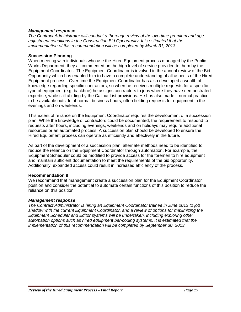# *Management response*

*The Contract Administrator will conduct a thorough review of the overtime premium and age adjustment conditions in the Construction Bid Opportunity. It is estimated that the implementation of this recommendation will be completed by March 31, 2013.* 

### **Succession Planning**

When meeting with individuals who use the Hired Equipment process managed by the Public Works Department, they all commented on the high level of service provided to them by the Equipment Coordinator. The Equipment Coordinator is involved in the annual review of the Bid Opportunity which has enabled him to have a complete understanding of all aspects of the Hired Equipment process. Over time the Equipment Coordinator has also developed a wealth of knowledge regarding specific contractors, so when he receives multiple requests for a specific type of equipment (e.g. backhoe) he assigns contractors to jobs where they have demonstrated expertise, while still abiding by the Callout List provisions. He has also made it normal practice to be available outside of normal business hours, often fielding requests for equipment in the evenings and on weekends.

This extent of reliance on the Equipment Coordinator requires the development of a succession plan. While the knowledge of contractors could be documented, the requirement to respond to requests after hours, including evenings, weekends and on holidays may require additional resources or an automated process. A succession plan should be developed to ensure the Hired Equipment process can operate as efficiently and effectively in the future.

As part of the development of a succession plan, alternate methods need to be identified to reduce the reliance on the Equipment Coordinator through automation. For example, the Equipment Scheduler could be modified to provide access for the foremen to hire equipment and maintain sufficient documentation to meet the requirements of the bid opportunity. Additionally, expanded access could result in increased efficiency of the process.

# **Recommendation 9**

We recommend that management create a succession plan for the Equipment Coordinator position and consider the potential to automate certain functions of this position to reduce the reliance on this position.

### *Management response*

*The Contract Administrator is hiring an Equipment Coordinator trainee in June 2012 to job shadow with the current Equipment Coordinator, and a review of options for maximizing the Equipment Scheduler and Editor systems will be undertaken, including exploring other automation options such as hired equipment bar-coding systems. It is estimated that the implementation of this recommendation will be completed by September 30, 2013.*